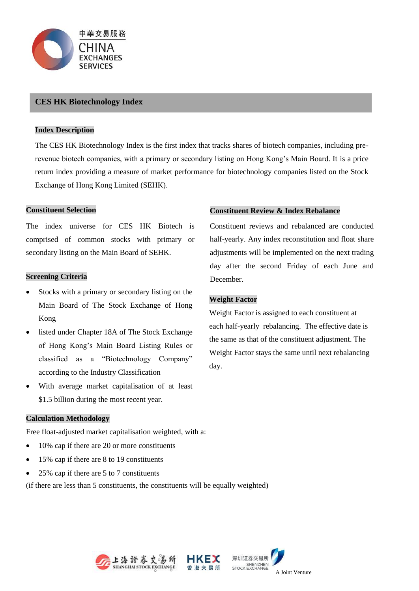

## **CES HK Biotechnology Index**

#### **Index Description**

The CES HK Biotechnology Index is the first index that tracks shares of biotech companies, including prerevenue biotech companies, with a primary or secondary listing on Hong Kong's Main Board. It is a price return index providing a measure of market performance for biotechnology companies listed on the Stock Exchange of Hong Kong Limited (SEHK).

#### **Constituent Selection**

The index universe for CES HK Biotech is comprised of common stocks with primary or secondary listing on the Main Board of SEHK.

#### **Screening Criteria**

- Stocks with a primary or secondary listing on the Main Board of The Stock Exchange of Hong Kong
- listed under Chapter 18A of The Stock Exchange of Hong Kong's Main Board Listing Rules or classified as a "Biotechnology Company" according to the Industry Classification
- With average market capitalisation of at least \$1.5 billion during the most recent year.

### **Calculation Methodology**

Free float-adjusted market capitalisation weighted, with a:

- 10% cap if there are 20 or more constituents
- 15% cap if there are 8 to 19 constituents
- 25% cap if there are 5 to 7 constituents

(if there are less than 5 constituents, the constituents will be equally weighted)











Constituent reviews and rebalanced are conducted half-yearly. Any index reconstitution and float share adjustments will be implemented on the next trading day after the second Friday of each June and December.

# **Weight Factor**

Weight Factor is assigned to each constituent at each half-yearly rebalancing. The effective date is the same as that of the constituent adjustment. The Weight Factor stays the same until next rebalancing day.